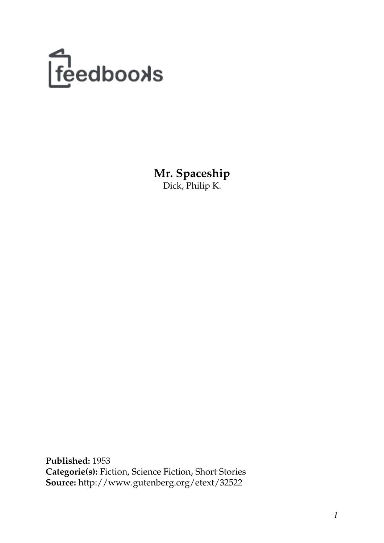

**Mr. Spaceship** Dick, Philip K.

**Published:** 1953 **Categorie(s):** Fiction, Science Fiction, Short Stories **Source:** http://www.gutenberg.org/etext/32522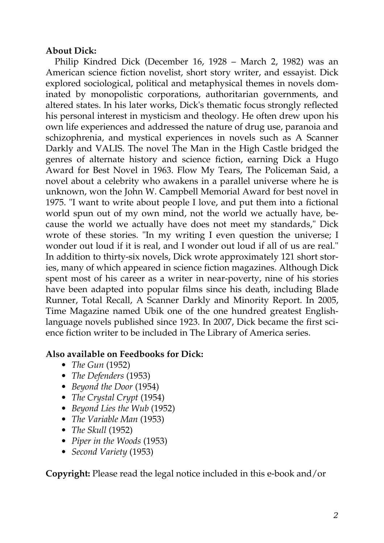## **About Dick:**

Philip Kindred Dick (December 16, 1928 – March 2, 1982) was an American science fiction novelist, short story writer, and essayist. Dick explored sociological, political and metaphysical themes in novels dominated by monopolistic corporations, authoritarian governments, and altered states. In his later works, Dick's thematic focus strongly reflected his personal interest in mysticism and theology. He often drew upon his own life experiences and addressed the nature of drug use, paranoia and schizophrenia, and mystical experiences in novels such as A Scanner Darkly and VALIS. The novel The Man in the High Castle bridged the genres of alternate history and science fiction, earning Dick a Hugo Award for Best Novel in 1963. Flow My Tears, The Policeman Said, a novel about a celebrity who awakens in a parallel universe where he is unknown, won the John W. Campbell Memorial Award for best novel in 1975. "I want to write about people I love, and put them into a fictional world spun out of my own mind, not the world we actually have, because the world we actually have does not meet my standards," Dick wrote of these stories. "In my writing I even question the universe; I wonder out loud if it is real, and I wonder out loud if all of us are real." In addition to thirty-six novels, Dick wrote approximately 121 short stories, many of which appeared in science fiction magazines. Although Dick spent most of his career as a writer in near-poverty, nine of his stories have been adapted into popular films since his death, including Blade Runner, Total Recall, A Scanner Darkly and Minority Report. In 2005, Time Magazine named Ubik one of the one hundred greatest Englishlanguage novels published since 1923. In 2007, Dick became the first science fiction writer to be included in The Library of America series.

## **Also available on Feedbooks for Dick:**

- *[The Gun](http://generation.feedbooks.com/book/3995.pdf)* (1952)
- *[The Defenders](http://generation.feedbooks.com/book/3892.pdf)* (1953)
- *[Beyond the Door](http://generation.feedbooks.com/book/3863.pdf)* (1954)
- *[The Crystal Crypt](http://generation.feedbooks.com/book/3878.pdf)* (1954)
- *[Beyond Lies the Wub](http://generation.feedbooks.com/book/3812.pdf)* (1952)
- *[The Variable Man](http://generation.feedbooks.com/book/4751.pdf)* (1953)
- *[The Skull](http://generation.feedbooks.com/book/4335.pdf)* (1952)
- *[Piper in the Woods](http://generation.feedbooks.com/book/4916.pdf)* (1953)
- *[Second Variety](http://generation.feedbooks.com/book/4711.pdf)* (1953)

**Copyright:** Please read the legal notice included in this e-book and/or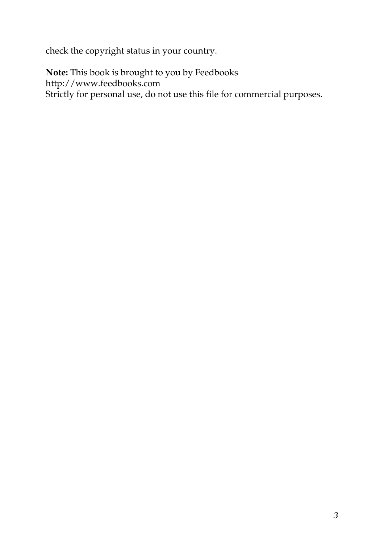check the copyright status in your country.

**Note:** This book is brought to you by Feedbooks <http://www.feedbooks.com> Strictly for personal use, do not use this file for commercial purposes.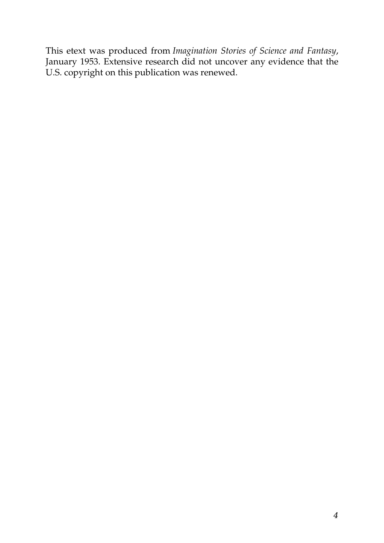This etext was produced from *Imagination Stories of Science and Fantasy*, January 1953. Extensive research did not uncover any evidence that the U.S. copyright on this publication was renewed.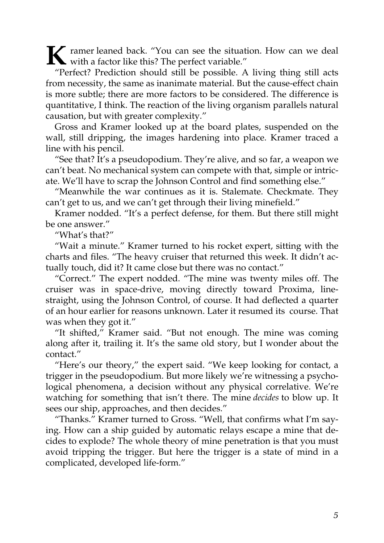**K** ramer leaned back. "You can see the situation. How can we deal with a factor like this? The perfect variable." with a factor like this? The perfect variable."

"Perfect? Prediction should still be possible. A living thing still acts from necessity, the same as inanimate material. But the cause-effect chain is more subtle; there are more factors to be considered. The difference is quantitative, I think. The reaction of the living organism parallels natural causation, but with greater complexity."

Gross and Kramer looked up at the board plates, suspended on the wall, still dripping, the images hardening into place. Kramer traced a line with his pencil.

"See that? It's a pseudopodium. They're alive, and so far, a weapon we can't beat. No mechanical system can compete with that, simple or intricate. We'll have to scrap the Johnson Control and find something else."

"Meanwhile the war continues as it is. Stalemate. Checkmate. They can't get to us, and we can't get through their living minefield."

Kramer nodded. "It's a perfect defense, for them. But there still might be one answer."

"What's that?"

"Wait a minute." Kramer turned to his rocket expert, sitting with the charts and files. "The heavy cruiser that returned this week. It didn't actually touch, did it? It came close but there was no contact."

"Correct." The expert nodded. "The mine was twenty miles off. The cruiser was in space-drive, moving directly toward Proxima, linestraight, using the Johnson Control, of course. It had deflected a quarter of an hour earlier for reasons unknown. Later it resumed its course. That was when they got it."

"It shifted," Kramer said. "But not enough. The mine was coming along after it, trailing it. It's the same old story, but I wonder about the contact."

"Here's our theory," the expert said. "We keep looking for contact, a trigger in the pseudopodium. But more likely we're witnessing a psychological phenomena, a decision without any physical correlative. We're watching for something that isn't there. The mine *decides* to blow up. It sees our ship, approaches, and then decides."

"Thanks." Kramer turned to Gross. "Well, that confirms what I'm saying. How can a ship guided by automatic relays escape a mine that decides to explode? The whole theory of mine penetration is that you must avoid tripping the trigger. But here the trigger is a state of mind in a complicated, developed life-form."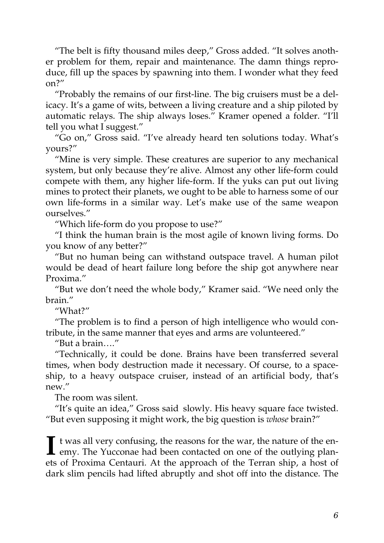"The belt is fifty thousand miles deep," Gross added. "It solves another problem for them, repair and maintenance. The damn things reproduce, fill up the spaces by spawning into them. I wonder what they feed on?"

"Probably the remains of our first-line. The big cruisers must be a delicacy. It's a game of wits, between a living creature and a ship piloted by automatic relays. The ship always loses." Kramer opened a folder. "I'll tell you what I suggest."

"Go on," Gross said. "I've already heard ten solutions today. What's yours?"

"Mine is very simple. These creatures are superior to any mechanical system, but only because they're alive. Almost any other life-form could compete with them, any higher life-form. If the yuks can put out living mines to protect their planets, we ought to be able to harness some of our own life-forms in a similar way. Let's make use of the same weapon ourselves."

"Which life-form do you propose to use?"

"I think the human brain is the most agile of known living forms. Do you know of any better?"

"But no human being can withstand outspace travel. A human pilot would be dead of heart failure long before the ship got anywhere near Proxima."

"But we don't need the whole body," Kramer said. "We need only the brain."

"What?"

"The problem is to find a person of high intelligence who would contribute, in the same manner that eyes and arms are volunteered."

"But a brain…."

"Technically, it could be done. Brains have been transferred several times, when body destruction made it necessary. Of course, to a spaceship, to a heavy outspace cruiser, instead of an artificial body, that's new."

The room was silent.

"It's quite an idea," Gross said slowly. His heavy square face twisted. "But even supposing it might work, the big question is *whose* brain?"

I t was all very confusing, the reasons for the war, the nature of the energy. The Yucconae had been contacted on one of the outlying plan- $\mathbf{I}$  t was all very confusing, the reasons for the war, the nature of the enets of Proxima Centauri. At the approach of the Terran ship, a host of dark slim pencils had lifted abruptly and shot off into the distance. The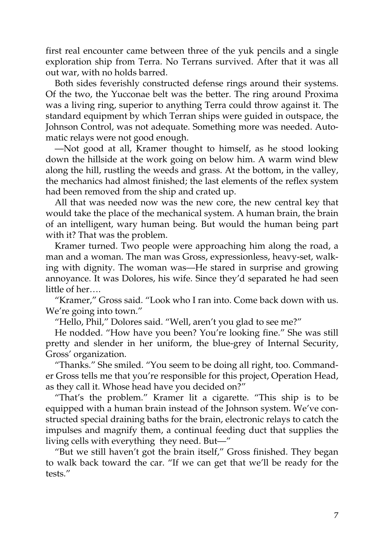first real encounter came between three of the yuk pencils and a single exploration ship from Terra. No Terrans survived. After that it was all out war, with no holds barred.

Both sides feverishly constructed defense rings around their systems. Of the two, the Yucconae belt was the better. The ring around Proxima was a living ring, superior to anything Terra could throw against it. The standard equipment by which Terran ships were guided in outspace, the Johnson Control, was not adequate. Something more was needed. Automatic relays were not good enough.

—Not good at all, Kramer thought to himself, as he stood looking down the hillside at the work going on below him. A warm wind blew along the hill, rustling the weeds and grass. At the bottom, in the valley, the mechanics had almost finished; the last elements of the reflex system had been removed from the ship and crated up.

All that was needed now was the new core, the new central key that would take the place of the mechanical system. A human brain, the brain of an intelligent, wary human being. But would the human being part with it? That was the problem.

Kramer turned. Two people were approaching him along the road, a man and a woman. The man was Gross, expressionless, heavy-set, walking with dignity. The woman was—He stared in surprise and growing annoyance. It was Dolores, his wife. Since they'd separated he had seen little of her….

"Kramer," Gross said. "Look who I ran into. Come back down with us. We're going into town."

"Hello, Phil," Dolores said. "Well, aren't you glad to see me?"

He nodded. "How have you been? You're looking fine." She was still pretty and slender in her uniform, the blue-grey of Internal Security, Gross' organization.

"Thanks." She smiled. "You seem to be doing all right, too. Commander Gross tells me that you're responsible for this project, Operation Head, as they call it. Whose head have you decided on?"

"That's the problem." Kramer lit a cigarette. "This ship is to be equipped with a human brain instead of the Johnson system. We've constructed special draining baths for the brain, electronic relays to catch the impulses and magnify them, a continual feeding duct that supplies the living cells with everything they need. But—"

"But we still haven't got the brain itself," Gross finished. They began to walk back toward the car. "If we can get that we'll be ready for the tests."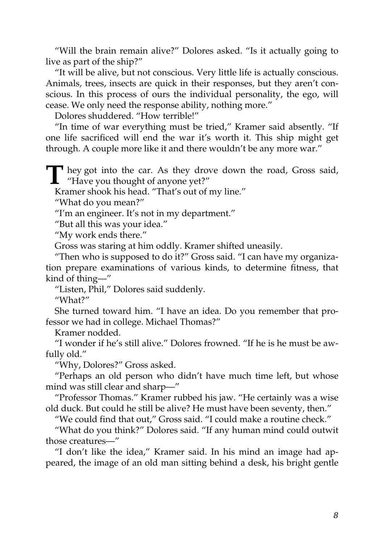"Will the brain remain alive?" Dolores asked. "Is it actually going to live as part of the ship?"

"It will be alive, but not conscious. Very little life is actually conscious. Animals, trees, insects are quick in their responses, but they aren't conscious. In this process of ours the individual personality, the ego, will cease. We only need the response ability, nothing more."

Dolores shuddered. "How terrible!"

"In time of war everything must be tried," Kramer said absently. "If one life sacrificed will end the war it's worth it. This ship might get through. A couple more like it and there wouldn't be any more war."

They got into the car. As they drove down the road, Gross said, "Have you thought of anyone yet?" **L** "Have you thought of anyone yet?"

Kramer shook his head. "That's out of my line."

"What do you mean?"

"I'm an engineer. It's not in my department."

"But all this was your idea."

"My work ends there."

Gross was staring at him oddly. Kramer shifted uneasily.

"Then who is supposed to do it?" Gross said. "I can have my organization prepare examinations of various kinds, to determine fitness, that kind of thing—"

"Listen, Phil," Dolores said suddenly.

"What?"

She turned toward him. "I have an idea. Do you remember that professor we had in college. Michael Thomas?"

Kramer nodded.

"I wonder if he's still alive." Dolores frowned. "If he is he must be awfully old."

"Why, Dolores?" Gross asked.

"Perhaps an old person who didn't have much time left, but whose mind was still clear and sharp—"

"Professor Thomas." Kramer rubbed his jaw. "He certainly was a wise old duck. But could he still be alive? He must have been seventy, then."

"We could find that out," Gross said. "I could make a routine check."

"What do you think?" Dolores said. "If any human mind could outwit those creatures—"

"I don't like the idea," Kramer said. In his mind an image had appeared, the image of an old man sitting behind a desk, his bright gentle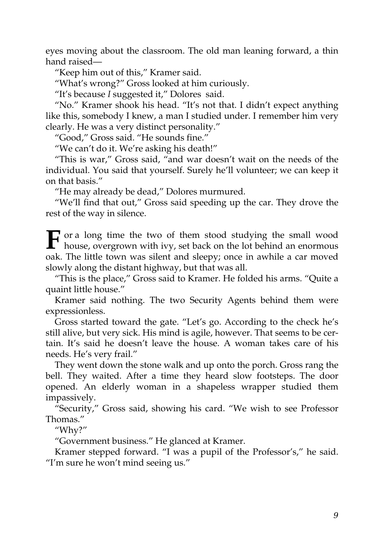eyes moving about the classroom. The old man leaning forward, a thin hand raised—

"Keep him out of this," Kramer said.

"What's wrong?" Gross looked at him curiously.

"It's because *I* suggested it," Dolores said.

"No." Kramer shook his head. "It's not that. I didn't expect anything like this, somebody I knew, a man I studied under. I remember him very clearly. He was a very distinct personality."

"Good," Gross said. "He sounds fine."

"We can't do it. We're asking his death!"

"This is war," Gross said, "and war doesn't wait on the needs of the individual. You said that yourself. Surely he'll volunteer; we can keep it on that basis."

"He may already be dead," Dolores murmured.

"We'll find that out," Gross said speeding up the car. They drove the rest of the way in silence.

**F** or a long time the two of them stood studying the small wood house, overgrown with ivy, set back on the lot behind an enormous house, overgrown with ivy, set back on the lot behind an enormous oak. The little town was silent and sleepy; once in awhile a car moved slowly along the distant highway, but that was all.

"This is the place," Gross said to Kramer. He folded his arms. "Quite a quaint little house."

Kramer said nothing. The two Security Agents behind them were expressionless.

Gross started toward the gate. "Let's go. According to the check he's still alive, but very sick. His mind is agile, however. That seems to be certain. It's said he doesn't leave the house. A woman takes care of his needs. He's very frail."

They went down the stone walk and up onto the porch. Gross rang the bell. They waited. After a time they heard slow footsteps. The door opened. An elderly woman in a shapeless wrapper studied them impassively.

"Security," Gross said, showing his card. "We wish to see Professor Thomas."

"Why?"

"Government business." He glanced at Kramer.

Kramer stepped forward. "I was a pupil of the Professor's," he said. "I'm sure he won't mind seeing us."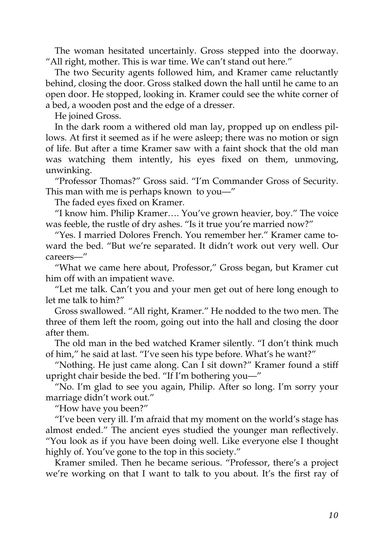The woman hesitated uncertainly. Gross stepped into the doorway. "All right, mother. This is war time. We can't stand out here."

The two Security agents followed him, and Kramer came reluctantly behind, closing the door. Gross stalked down the hall until he came to an open door. He stopped, looking in. Kramer could see the white corner of a bed, a wooden post and the edge of a dresser.

He joined Gross.

In the dark room a withered old man lay, propped up on endless pillows. At first it seemed as if he were asleep; there was no motion or sign of life. But after a time Kramer saw with a faint shock that the old man was watching them intently, his eyes fixed on them, unmoving, unwinking.

"Professor Thomas?" Gross said. "I'm Commander Gross of Security. This man with me is perhaps known to you—"

The faded eyes fixed on Kramer.

"I know him. Philip Kramer…. You've grown heavier, boy." The voice was feeble, the rustle of dry ashes. "Is it true you're married now?"

"Yes. I married Dolores French. You remember her." Kramer came toward the bed. "But we're separated. It didn't work out very well. Our careers—"

"What we came here about, Professor," Gross began, but Kramer cut him off with an impatient wave.

"Let me talk. Can't you and your men get out of here long enough to let me talk to him?"

Gross swallowed. "All right, Kramer." He nodded to the two men. The three of them left the room, going out into the hall and closing the door after them.

The old man in the bed watched Kramer silently. "I don't think much of him," he said at last. "I've seen his type before. What's he want?"

"Nothing. He just came along. Can I sit down?" Kramer found a stiff upright chair beside the bed. "If I'm bothering you—"

"No. I'm glad to see you again, Philip. After so long. I'm sorry your marriage didn't work out."

"How have you been?"

"I've been very ill. I'm afraid that my moment on the world's stage has almost ended." The ancient eyes studied the younger man reflectively. "You look as if you have been doing well. Like everyone else I thought highly of. You've gone to the top in this society."

Kramer smiled. Then he became serious. "Professor, there's a project we're working on that I want to talk to you about. It's the first ray of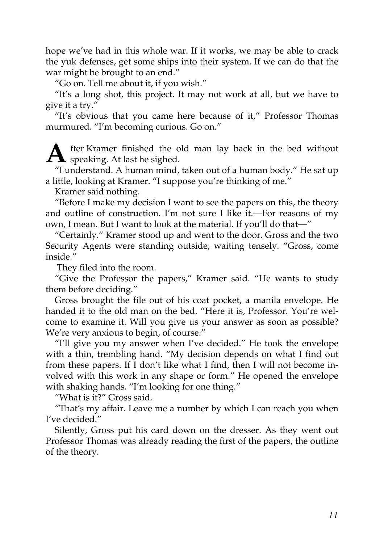hope we've had in this whole war. If it works, we may be able to crack the yuk defenses, get some ships into their system. If we can do that the war might be brought to an end."

"Go on. Tell me about it, if you wish."

"It's a long shot, this project. It may not work at all, but we have to give it a try."

"It's obvious that you came here because of it," Professor Thomas murmured. "I'm becoming curious. Go on."

**A** fter Kramer finished the conservation of the sighed. fter Kramer finished the old man lay back in the bed without

"I understand. A human mind, taken out of a human body." He sat up a little, looking at Kramer. "I suppose you're thinking of me."

Kramer said nothing.

"Before I make my decision I want to see the papers on this, the theory and outline of construction. I'm not sure I like it.—For reasons of my own, I mean. But I want to look at the material. If you'll do that—"

"Certainly." Kramer stood up and went to the door. Gross and the two Security Agents were standing outside, waiting tensely. "Gross, come inside."

They filed into the room.

"Give the Professor the papers," Kramer said. "He wants to study them before deciding."

Gross brought the file out of his coat pocket, a manila envelope. He handed it to the old man on the bed. "Here it is, Professor. You're welcome to examine it. Will you give us your answer as soon as possible? We're very anxious to begin, of course."

"I'll give you my answer when I've decided." He took the envelope with a thin, trembling hand. "My decision depends on what I find out from these papers. If I don't like what I find, then I will not become involved with this work in any shape or form." He opened the envelope with shaking hands. "I'm looking for one thing."

"What is it?" Gross said.

"That's my affair. Leave me a number by which I can reach you when I've decided."

Silently, Gross put his card down on the dresser. As they went out Professor Thomas was already reading the first of the papers, the outline of the theory.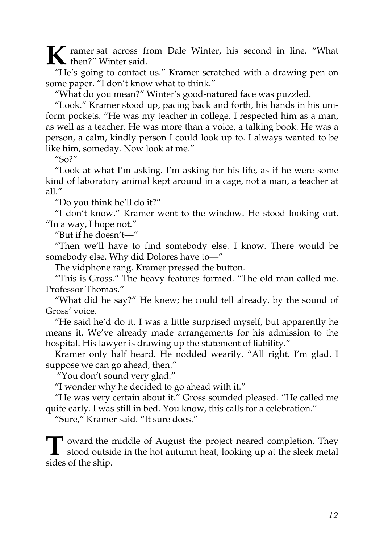**K** ramer sat across from Dale Winter, his second in line. "What then?" Winter said.

"He's going to contact us." Kramer scratched with a drawing pen on some paper. "I don't know what to think."

"What do you mean?" Winter's good-natured face was puzzled.

"Look." Kramer stood up, pacing back and forth, his hands in his uniform pockets. "He was my teacher in college. I respected him as a man, as well as a teacher. He was more than a voice, a talking book. He was a person, a calm, kindly person I could look up to. I always wanted to be like him, someday. Now look at me."

"So?"

"Look at what I'm asking. I'm asking for his life, as if he were some kind of laboratory animal kept around in a cage, not a man, a teacher at all."

"Do you think he'll do it?"

"I don't know." Kramer went to the window. He stood looking out. "In a way, I hope not."

"But if he doesn't—"

"Then we'll have to find somebody else. I know. There would be somebody else. Why did Dolores have to—"

The vidphone rang. Kramer pressed the button.

"This is Gross." The heavy features formed. "The old man called me. Professor Thomas."

"What did he say?" He knew; he could tell already, by the sound of Gross' voice.

"He said he'd do it. I was a little surprised myself, but apparently he means it. We've already made arrangements for his admission to the hospital. His lawyer is drawing up the statement of liability."

Kramer only half heard. He nodded wearily. "All right. I'm glad. I suppose we can go ahead, then."

"You don't sound very glad."

"I wonder why he decided to go ahead with it."

"He was very certain about it." Gross sounded pleased. "He called me quite early. I was still in bed. You know, this calls for a celebration."

"Sure," Kramer said. "It sure does."

T oward the middle of August the project neared completion. They stood outside in the hot autumn heat, looking up at the sleek metal stood outside in the hot autumn heat, looking up at the sleek metal sides of the ship.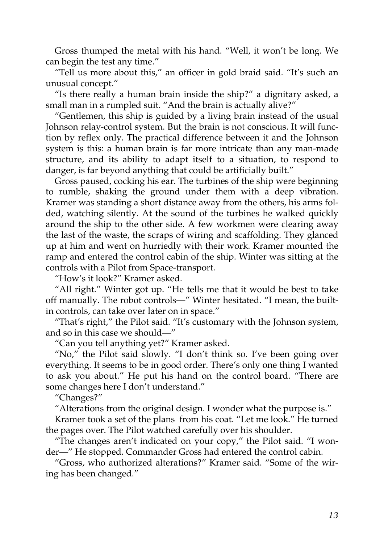Gross thumped the metal with his hand. "Well, it won't be long. We can begin the test any time."

"Tell us more about this," an officer in gold braid said. "It's such an unusual concept."

"Is there really a human brain inside the ship?" a dignitary asked, a small man in a rumpled suit. "And the brain is actually alive?"

"Gentlemen, this ship is guided by a living brain instead of the usual Johnson relay-control system. But the brain is not conscious. It will function by reflex only. The practical difference between it and the Johnson system is this: a human brain is far more intricate than any man-made structure, and its ability to adapt itself to a situation, to respond to danger, is far beyond anything that could be artificially built."

Gross paused, cocking his ear. The turbines of the ship were beginning to rumble, shaking the ground under them with a deep vibration. Kramer was standing a short distance away from the others, his arms folded, watching silently. At the sound of the turbines he walked quickly around the ship to the other side. A few workmen were clearing away the last of the waste, the scraps of wiring and scaffolding. They glanced up at him and went on hurriedly with their work. Kramer mounted the ramp and entered the control cabin of the ship. Winter was sitting at the controls with a Pilot from Space-transport.

"How's it look?" Kramer asked.

"All right." Winter got up. "He tells me that it would be best to take off manually. The robot controls—" Winter hesitated. "I mean, the builtin controls, can take over later on in space."

"That's right," the Pilot said. "It's customary with the Johnson system, and so in this case we should—"

"Can you tell anything yet?" Kramer asked.

"No," the Pilot said slowly. "I don't think so. I've been going over everything. It seems to be in good order. There's only one thing I wanted to ask you about." He put his hand on the control board. "There are some changes here I don't understand."

"Changes?"

"Alterations from the original design. I wonder what the purpose is."

Kramer took a set of the plans from his coat. "Let me look." He turned the pages over. The Pilot watched carefully over his shoulder.

"The changes aren't indicated on your copy," the Pilot said. "I wonder—" He stopped. Commander Gross had entered the control cabin.

"Gross, who authorized alterations?" Kramer said. "Some of the wiring has been changed."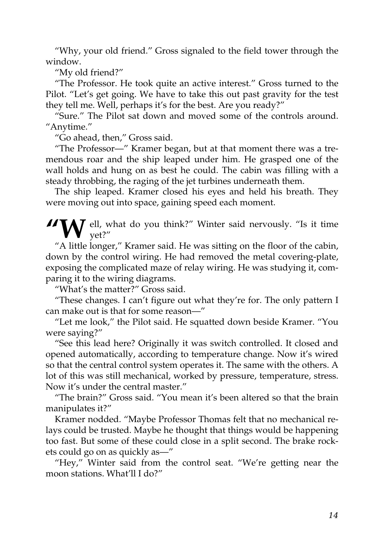"Why, your old friend." Gross signaled to the field tower through the window.

"My old friend?"

"The Professor. He took quite an active interest." Gross turned to the Pilot. "Let's get going. We have to take this out past gravity for the test they tell me. Well, perhaps it's for the best. Are you ready?"

"Sure." The Pilot sat down and moved some of the controls around. "Anytime."

"Go ahead, then," Gross said.

"The Professor—" Kramer began, but at that moment there was a tremendous roar and the ship leaped under him. He grasped one of the wall holds and hung on as best he could. The cabin was filling with a steady throbbing, the raging of the jet turbines underneath them.

The ship leaped. Kramer closed his eyes and held his breath. They were moving out into space, gaining speed each moment.

**"W** ell, what do you think?" Winter said nervously. "Is it time

"A little longer," Kramer said. He was sitting on the floor of the cabin, down by the control wiring. He had removed the metal covering-plate, exposing the complicated maze of relay wiring. He was studying it, comparing it to the wiring diagrams.

"What's the matter?" Gross said.

"These changes. I can't figure out what they're for. The only pattern I can make out is that for some reason—"

"Let me look," the Pilot said. He squatted down beside Kramer. "You were saying?"

"See this lead here? Originally it was switch controlled. It closed and opened automatically, according to temperature change. Now it's wired so that the central control system operates it. The same with the others. A lot of this was still mechanical, worked by pressure, temperature, stress. Now it's under the central master."

"The brain?" Gross said. "You mean it's been altered so that the brain manipulates it?"

Kramer nodded. "Maybe Professor Thomas felt that no mechanical relays could be trusted. Maybe he thought that things would be happening too fast. But some of these could close in a split second. The brake rockets could go on as quickly as—"

"Hey," Winter said from the control seat. "We're getting near the moon stations. What'll I do?"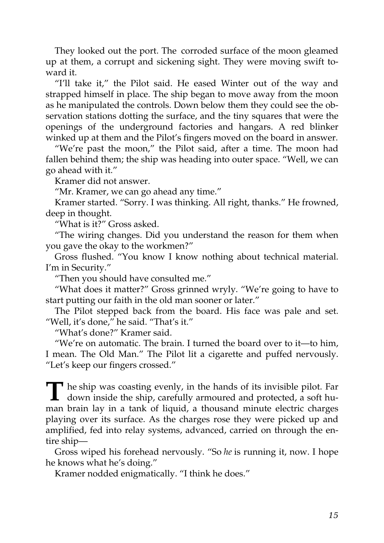They looked out the port. The corroded surface of the moon gleamed up at them, a corrupt and sickening sight. They were moving swift toward it.

"I'll take it," the Pilot said. He eased Winter out of the way and strapped himself in place. The ship began to move away from the moon as he manipulated the controls. Down below them they could see the observation stations dotting the surface, and the tiny squares that were the openings of the underground factories and hangars. A red blinker winked up at them and the Pilot's fingers moved on the board in answer.

"We're past the moon," the Pilot said, after a time. The moon had fallen behind them; the ship was heading into outer space. "Well, we can go ahead with it."

Kramer did not answer.

"Mr. Kramer, we can go ahead any time."

Kramer started. "Sorry. I was thinking. All right, thanks." He frowned, deep in thought.

"What is it?" Gross asked.

"The wiring changes. Did you understand the reason for them when you gave the okay to the workmen?"

Gross flushed. "You know I know nothing about technical material. I'm in Security."

"Then you should have consulted me."

"What does it matter?" Gross grinned wryly. "We're going to have to start putting our faith in the old man sooner or later."

The Pilot stepped back from the board. His face was pale and set. "Well, it's done," he said. "That's it."

"What's done?" Kramer said.

"We're on automatic. The brain. I turned the board over to it—to him, I mean. The Old Man." The Pilot lit a cigarette and puffed nervously. "Let's keep our fingers crossed."

The ship was coasting evenly, in the hands of its invisible pilot. Far<br>down inside the ship, carefully armoured and protected, a soft hudown inside the ship, carefully armoured and protected, a soft human brain lay in a tank of liquid, a thousand minute electric charges playing over its surface. As the charges rose they were picked up and amplified, fed into relay systems, advanced, carried on through the entire ship—

Gross wiped his forehead nervously. "So *he* is running it, now. I hope he knows what he's doing."

Kramer nodded enigmatically. "I think he does."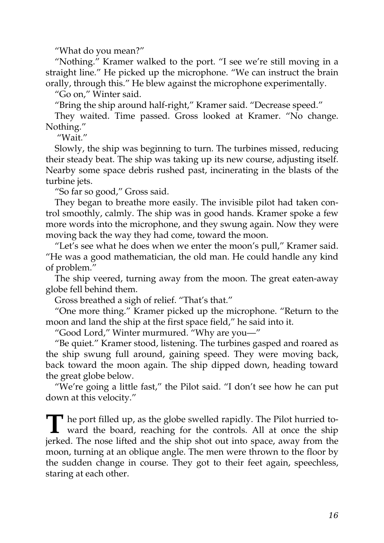"What do you mean?"

"Nothing." Kramer walked to the port. "I see we're still moving in a straight line." He picked up the microphone. "We can instruct the brain orally, through this." He blew against the microphone experimentally.

"Go on," Winter said.

"Bring the ship around half-right," Kramer said. "Decrease speed."

They waited. Time passed. Gross looked at Kramer. "No change. Nothing."

"Wait."

Slowly, the ship was beginning to turn. The turbines missed, reducing their steady beat. The ship was taking up its new course, adjusting itself. Nearby some space debris rushed past, incinerating in the blasts of the turbine jets.

"So far so good," Gross said.

They began to breathe more easily. The invisible pilot had taken control smoothly, calmly. The ship was in good hands. Kramer spoke a few more words into the microphone, and they swung again. Now they were moving back the way they had come, toward the moon.

"Let's see what he does when we enter the moon's pull," Kramer said. "He was a good mathematician, the old man. He could handle any kind of problem."

The ship veered, turning away from the moon. The great eaten-away globe fell behind them.

Gross breathed a sigh of relief. "That's that."

"One more thing." Kramer picked up the microphone. "Return to the moon and land the ship at the first space field," he said into it.

"Good Lord," Winter murmured. "Why are you—"

"Be quiet." Kramer stood, listening. The turbines gasped and roared as the ship swung full around, gaining speed. They were moving back, back toward the moon again. The ship dipped down, heading toward the great globe below.

"We're going a little fast," the Pilot said. "I don't see how he can put down at this velocity."

The port filled up, as the globe swelled rapidly. The Pilot hurried to-<br>ward the board, reaching for the controls. All at once the ship ward the board, reaching for the controls. All at once the ship jerked. The nose lifted and the ship shot out into space, away from the moon, turning at an oblique angle. The men were thrown to the floor by the sudden change in course. They got to their feet again, speechless, staring at each other.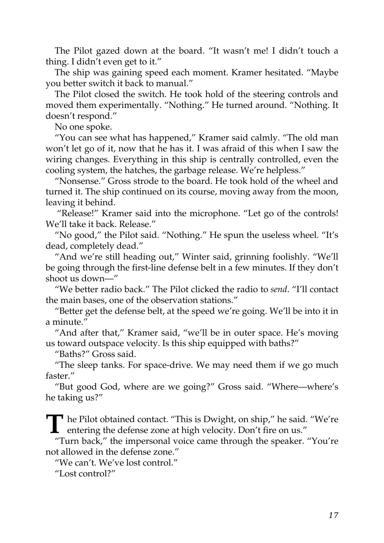The Pilot gazed down at the board. "It wasn't me! I didn't touch a thing. I didn't even get to it."

The ship was gaining speed each moment. Kramer hesitated. "Maybe you better switch it back to manual."

The Pilot closed the switch. He took hold of the steering controls and moved them experimentally. "Nothing." He turned around. "Nothing. It doesn't respond."

No one spoke.

"You can see what has happened," Kramer said calmly. "The old man won't let go of it, now that he has it. I was afraid of this when I saw the wiring changes. Everything in this ship is centrally controlled, even the cooling system, the hatches, the garbage release. We're helpless."

"Nonsense." Gross strode to the board. He took hold of the wheel and turned it. The ship continued on its course, moving away from the moon, leaving it behind.

"Release!" Kramer said into the microphone. "Let go of the controls! We'll take it back. Release."

"No good," the Pilot said. "Nothing." He spun the useless wheel. "It's dead, completely dead."

"And we're still heading out," Winter said, grinning foolishly. "We'll be going through the first-line defense belt in a few minutes. If they don't shoot us down—"

"We better radio back." The Pilot clicked the radio to *send*. "I'll contact the main bases, one of the observation stations."

"Better get the defense belt, at the speed we're going. We'll be into it in a minute."

"And after that," Kramer said, "we'll be in outer space. He's moving us toward outspace velocity. Is this ship equipped with baths?"

"Baths?" Gross said.

"The sleep tanks. For space-drive. We may need them if we go much faster."

"But good God, where are we going?" Gross said. "Where—where's he taking us?"

The Pilot obtained contact. "This is Dwight, on ship," he said. "We're entering the defense zone at high velocity. Don't fire on us." entering the defense zone at high velocity. Don't fire on us."

"Turn back," the impersonal voice came through the speaker. "You're not allowed in the defense zone."

"We can't. We've lost control."

"Lost control?"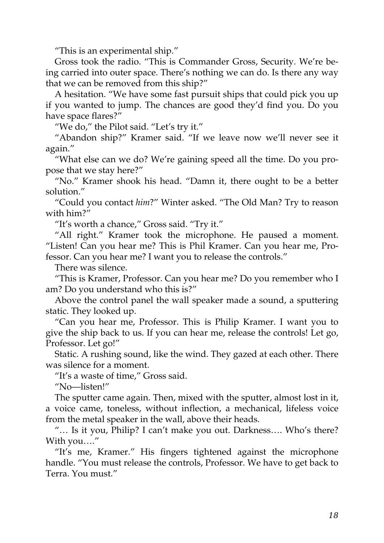"This is an experimental ship."

Gross took the radio. "This is Commander Gross, Security. We're being carried into outer space. There's nothing we can do. Is there any way that we can be removed from this ship?"

A hesitation. "We have some fast pursuit ships that could pick you up if you wanted to jump. The chances are good they'd find you. Do you have space flares?"

"We do," the Pilot said. "Let's try it."

"Abandon ship?" Kramer said. "If we leave now we'll never see it again."

"What else can we do? We're gaining speed all the time. Do you propose that we stay here?"

"No." Kramer shook his head. "Damn it, there ought to be a better solution."

"Could you contact *him*?" Winter asked. "The Old Man? Try to reason with him?"

"It's worth a chance," Gross said. "Try it."

"All right." Kramer took the microphone. He paused a moment. "Listen! Can you hear me? This is Phil Kramer. Can you hear me, Professor. Can you hear me? I want you to release the controls."

There was silence.

"This is Kramer, Professor. Can you hear me? Do you remember who I am? Do you understand who this is?"

Above the control panel the wall speaker made a sound, a sputtering static. They looked up.

"Can you hear me, Professor. This is Philip Kramer. I want you to give the ship back to us. If you can hear me, release the controls! Let go, Professor. Let go!"

Static. A rushing sound, like the wind. They gazed at each other. There was silence for a moment.

"It's a waste of time," Gross said.

"No—listen!"

The sputter came again. Then, mixed with the sputter, almost lost in it, a voice came, toneless, without inflection, a mechanical, lifeless voice from the metal speaker in the wall, above their heads.

"… Is it you, Philip? I can't make you out. Darkness…. Who's there? With you...."

"It's me, Kramer." His fingers tightened against the microphone handle. "You must release the controls, Professor. We have to get back to Terra. You must."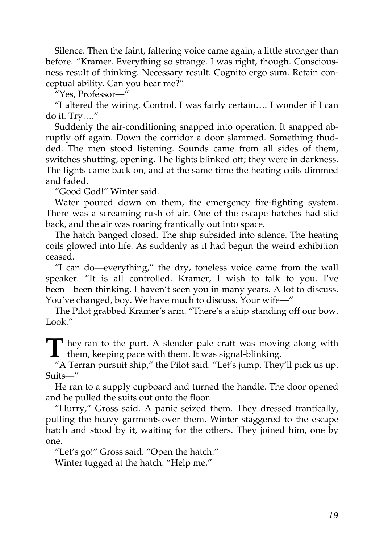Silence. Then the faint, faltering voice came again, a little stronger than before. "Kramer. Everything so strange. I was right, though. Consciousness result of thinking. Necessary result. Cognito ergo sum. Retain conceptual ability. Can you hear me?"

"Yes, Professor—"

"I altered the wiring. Control. I was fairly certain…. I wonder if I can do it. Try…."

Suddenly the air-conditioning snapped into operation. It snapped abruptly off again. Down the corridor a door slammed. Something thudded. The men stood listening. Sounds came from all sides of them, switches shutting, opening. The lights blinked off; they were in darkness. The lights came back on, and at the same time the heating coils dimmed and faded.

"Good God!" Winter said.

Water poured down on them, the emergency fire-fighting system. There was a screaming rush of air. One of the escape hatches had slid back, and the air was roaring frantically out into space.

The hatch banged closed. The ship subsided into silence. The heating coils glowed into life. As suddenly as it had begun the weird exhibition ceased.

"I can do—everything," the dry, toneless voice came from the wall speaker. "It is all controlled. Kramer, I wish to talk to you. I've been—been thinking. I haven't seen you in many years. A lot to discuss. You've changed, boy. We have much to discuss. Your wife—"

The Pilot grabbed Kramer's arm. "There's a ship standing off our bow. Look."

They ran to the port. A slender pale craft was moving along with them, keeping pace with them. It was signal-blinking. them, keeping pace with them. It was signal-blinking.

"A Terran pursuit ship," the Pilot said. "Let's jump. They'll pick us up. Suits—"

He ran to a supply cupboard and turned the handle. The door opened and he pulled the suits out onto the floor.

"Hurry," Gross said. A panic seized them. They dressed frantically, pulling the heavy garments over them. Winter staggered to the escape hatch and stood by it, waiting for the others. They joined him, one by one.

"Let's go!" Gross said. "Open the hatch."

Winter tugged at the hatch. "Help me."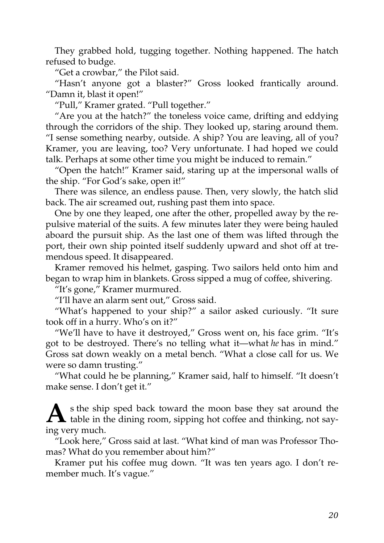They grabbed hold, tugging together. Nothing happened. The hatch refused to budge.

"Get a crowbar," the Pilot said.

"Hasn't anyone got a blaster?" Gross looked frantically around. "Damn it, blast it open!"

"Pull," Kramer grated. "Pull together."

"Are you at the hatch?" the toneless voice came, drifting and eddying through the corridors of the ship. They looked up, staring around them. "I sense something nearby, outside. A ship? You are leaving, all of you? Kramer, you are leaving, too? Very unfortunate. I had hoped we could talk. Perhaps at some other time you might be induced to remain."

"Open the hatch!" Kramer said, staring up at the impersonal walls of the ship. "For God's sake, open it!"

There was silence, an endless pause. Then, very slowly, the hatch slid back. The air screamed out, rushing past them into space.

One by one they leaped, one after the other, propelled away by the repulsive material of the suits. A few minutes later they were being hauled aboard the pursuit ship. As the last one of them was lifted through the port, their own ship pointed itself suddenly upward and shot off at tremendous speed. It disappeared.

Kramer removed his helmet, gasping. Two sailors held onto him and began to wrap him in blankets. Gross sipped a mug of coffee, shivering.

"It's gone," Kramer murmured.

"I'll have an alarm sent out," Gross said.

"What's happened to your ship?" a sailor asked curiously. "It sure took off in a hurry. Who's on it?"

"We'll have to have it destroyed," Gross went on, his face grim. "It's got to be destroyed. There's no telling what it—what *he* has in mind." Gross sat down weakly on a metal bench. "What a close call for us. We were so damn trusting."

"What could he be planning," Kramer said, half to himself. "It doesn't make sense. I don't get it."

**A** s the ship sped back toward the moon base they sat around the  $\blacktriangle$  table in the dining room, sipping hot coffee and thinking, not saying very much.

"Look here," Gross said at last. "What kind of man was Professor Thomas? What do you remember about him?"

Kramer put his coffee mug down. "It was ten years ago. I don't remember much. It's vague."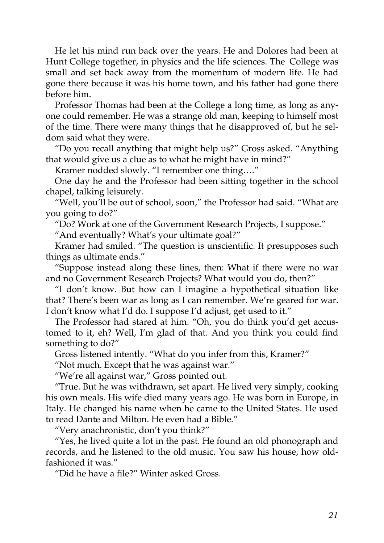He let his mind run back over the years. He and Dolores had been at Hunt College together, in physics and the life sciences. The College was small and set back away from the momentum of modern life. He had gone there because it was his home town, and his father had gone there before him.

Professor Thomas had been at the College a long time, as long as anyone could remember. He was a strange old man, keeping to himself most of the time. There were many things that he disapproved of, but he seldom said what they were.

"Do you recall anything that might help us?" Gross asked. "Anything that would give us a clue as to what he might have in mind?"

Kramer nodded slowly. "I remember one thing…."

One day he and the Professor had been sitting together in the school chapel, talking leisurely.

"Well, you'll be out of school, soon," the Professor had said. "What are you going to do?"

"Do? Work at one of the Government Research Projects, I suppose."

"And eventually? What's your ultimate goal?"

Kramer had smiled. "The question is unscientific. It presupposes such things as ultimate ends."

"Suppose instead along these lines, then: What if there were no war and no Government Research Projects? What would you do, then?"

"I don't know. But how can I imagine a hypothetical situation like that? There's been war as long as I can remember. We're geared for war. I don't know what I'd do. I suppose I'd adjust, get used to it."

The Professor had stared at him. "Oh, you do think you'd get accustomed to it, eh? Well, I'm glad of that. And you think you could find something to do?"

Gross listened intently. "What do you infer from this, Kramer?"

"Not much. Except that he was against war."

"We're all against war," Gross pointed out.

"True. But he was withdrawn, set apart. He lived very simply, cooking his own meals. His wife died many years ago. He was born in Europe, in Italy. He changed his name when he came to the United States. He used to read Dante and Milton. He even had a Bible."

"Very anachronistic, don't you think?"

"Yes, he lived quite a lot in the past. He found an old phonograph and records, and he listened to the old music. You saw his house, how oldfashioned it was."

"Did he have a file?" Winter asked Gross.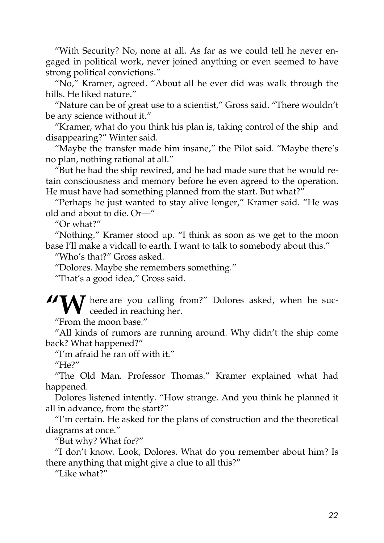"With Security? No, none at all. As far as we could tell he never engaged in political work, never joined anything or even seemed to have strong political convictions."

"No," Kramer, agreed. "About all he ever did was walk through the hills. He liked nature."

"Nature can be of great use to a scientist," Gross said. "There wouldn't be any science without it."

"Kramer, what do you think his plan is, taking control of the ship and disappearing?" Winter said.

"Maybe the transfer made him insane," the Pilot said. "Maybe there's no plan, nothing rational at all."

"But he had the ship rewired, and he had made sure that he would retain consciousness and memory before he even agreed to the operation. He must have had something planned from the start. But what?"

"Perhaps he just wanted to stay alive longer," Kramer said. "He was old and about to die. Or—"

"Or what?"

"Nothing." Kramer stood up. "I think as soon as we get to the moon base I'll make a vidcall to earth. I want to talk to somebody about this."

"Who's that?" Gross asked.

"Dolores. Maybe she remembers something."

"That's a good idea," Gross said.

**IIN TAT** here are you calling from?" Dolores asked, when he succeeded in reaching her.

"From the moon base."

"All kinds of rumors are running around. Why didn't the ship come back? What happened?"

"I'm afraid he ran off with it."

 $H_{\rm P}$ ?"

"The Old Man. Professor Thomas." Kramer explained what had happened.

Dolores listened intently. "How strange. And you think he planned it all in advance, from the start?"

"I'm certain. He asked for the plans of construction and the theoretical diagrams at once."

"But why? What for?"

"I don't know. Look, Dolores. What do you remember about him? Is there anything that might give a clue to all this?"

"Like what?"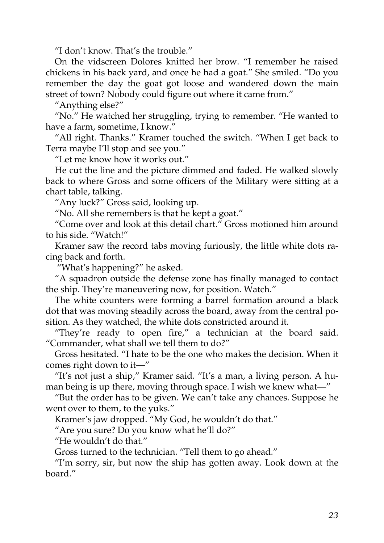"I don't know. That's the trouble."

On the vidscreen Dolores knitted her brow. "I remember he raised chickens in his back yard, and once he had a goat." She smiled. "Do you remember the day the goat got loose and wandered down the main street of town? Nobody could figure out where it came from."

"Anything else?"

"No." He watched her struggling, trying to remember. "He wanted to have a farm, sometime, I know."

"All right. Thanks." Kramer touched the switch. "When I get back to Terra maybe I'll stop and see you."

"Let me know how it works out."

He cut the line and the picture dimmed and faded. He walked slowly back to where Gross and some officers of the Military were sitting at a chart table, talking.

"Any luck?" Gross said, looking up.

"No. All she remembers is that he kept a goat."

"Come over and look at this detail chart." Gross motioned him around to his side. "Watch!"

Kramer saw the record tabs moving furiously, the little white dots racing back and forth.

"What's happening?" he asked.

"A squadron outside the defense zone has finally managed to contact the ship. They're maneuvering now, for position. Watch."

The white counters were forming a barrel formation around a black dot that was moving steadily across the board, away from the central position. As they watched, the white dots constricted around it.

"They're ready to open fire," a technician at the board said. "Commander, what shall we tell them to do?"

Gross hesitated. "I hate to be the one who makes the decision. When it comes right down to it—"

"It's not just a ship," Kramer said. "It's a man, a living person. A human being is up there, moving through space. I wish we knew what—"

"But the order has to be given. We can't take any chances. Suppose he went over to them, to the yuks."

Kramer's jaw dropped. "My God, he wouldn't do that."

"Are you sure? Do you know what he'll do?"

"He wouldn't do that."

Gross turned to the technician. "Tell them to go ahead."

"I'm sorry, sir, but now the ship has gotten away. Look down at the board."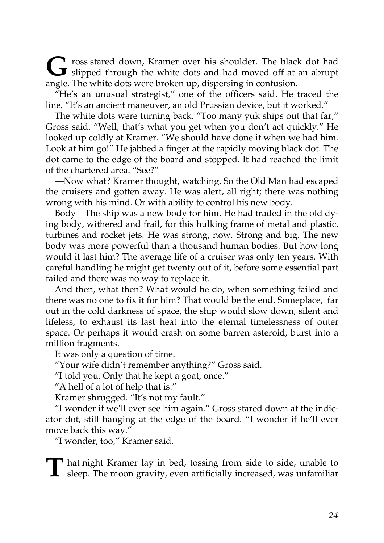G ross stared down, Kramer over his shoulder. The black dot had slipped through the white dots and had moved off at an abrupt angle. The white dots were broken up, dispersing in confusion.

"He's an unusual strategist," one of the officers said. He traced the line. "It's an ancient maneuver, an old Prussian device, but it worked."

The white dots were turning back. "Too many yuk ships out that far," Gross said. "Well, that's what you get when you don't act quickly." He looked up coldly at Kramer. "We should have done it when we had him. Look at him go!" He jabbed a finger at the rapidly moving black dot. The dot came to the edge of the board and stopped. It had reached the limit of the chartered area. "See?"

—Now what? Kramer thought, watching. So the Old Man had escaped the cruisers and gotten away. He was alert, all right; there was nothing wrong with his mind. Or with ability to control his new body.

Body—The ship was a new body for him. He had traded in the old dying body, withered and frail, for this hulking frame of metal and plastic, turbines and rocket jets. He was strong, now. Strong and big. The new body was more powerful than a thousand human bodies. But how long would it last him? The average life of a cruiser was only ten years. With careful handling he might get twenty out of it, before some essential part failed and there was no way to replace it.

And then, what then? What would he do, when something failed and there was no one to fix it for him? That would be the end. Someplace, far out in the cold darkness of space, the ship would slow down, silent and lifeless, to exhaust its last heat into the eternal timelessness of outer space. Or perhaps it would crash on some barren asteroid, burst into a million fragments.

It was only a question of time.

"Your wife didn't remember anything?" Gross said.

"I told you. Only that he kept a goat, once."

"A hell of a lot of help that is."

Kramer shrugged. "It's not my fault."

"I wonder if we'll ever see him again." Gross stared down at the indicator dot, still hanging at the edge of the board. "I wonder if he'll ever move back this way."

"I wonder, too," Kramer said.

T hat night Kramer lay in bed, tossing from side to side, unable to sleep. The moon gravity, even artificially increased, was unfamiliar sleep. The moon gravity, even artificially increased, was unfamiliar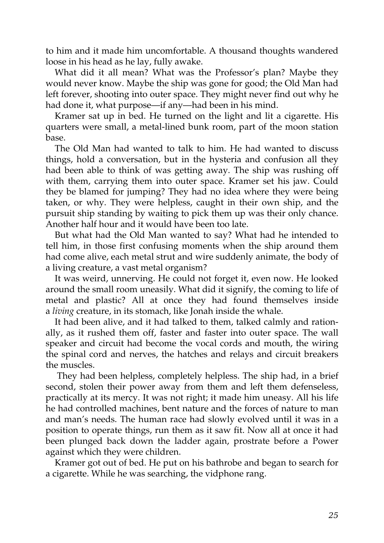to him and it made him uncomfortable. A thousand thoughts wandered loose in his head as he lay, fully awake.

What did it all mean? What was the Professor's plan? Maybe they would never know. Maybe the ship was gone for good; the Old Man had left forever, shooting into outer space. They might never find out why he had done it, what purpose—if any—had been in his mind.

Kramer sat up in bed. He turned on the light and lit a cigarette. His quarters were small, a metal-lined bunk room, part of the moon station base.

The Old Man had wanted to talk to him. He had wanted to discuss things, hold a conversation, but in the hysteria and confusion all they had been able to think of was getting away. The ship was rushing off with them, carrying them into outer space. Kramer set his jaw. Could they be blamed for jumping? They had no idea where they were being taken, or why. They were helpless, caught in their own ship, and the pursuit ship standing by waiting to pick them up was their only chance. Another half hour and it would have been too late.

But what had the Old Man wanted to say? What had he intended to tell him, in those first confusing moments when the ship around them had come alive, each metal strut and wire suddenly animate, the body of a living creature, a vast metal organism?

It was weird, unnerving. He could not forget it, even now. He looked around the small room uneasily. What did it signify, the coming to life of metal and plastic? All at once they had found themselves inside a *living* creature, in its stomach, like Jonah inside the whale.

It had been alive, and it had talked to them, talked calmly and rationally, as it rushed them off, faster and faster into outer space. The wall speaker and circuit had become the vocal cords and mouth, the wiring the spinal cord and nerves, the hatches and relays and circuit breakers the muscles.

They had been helpless, completely helpless. The ship had, in a brief second, stolen their power away from them and left them defenseless, practically at its mercy. It was not right; it made him uneasy. All his life he had controlled machines, bent nature and the forces of nature to man and man's needs. The human race had slowly evolved until it was in a position to operate things, run them as it saw fit. Now all at once it had been plunged back down the ladder again, prostrate before a Power against which they were children.

Kramer got out of bed. He put on his bathrobe and began to search for a cigarette. While he was searching, the vidphone rang.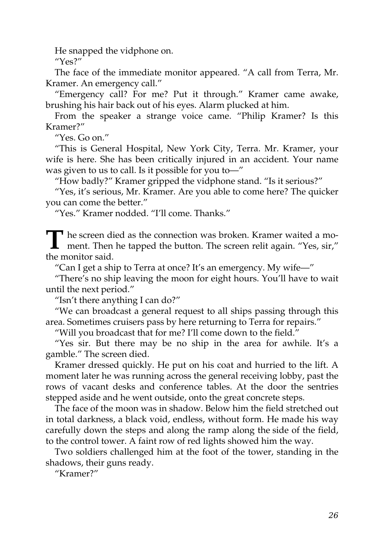He snapped the vidphone on.

"Yes?"

The face of the immediate monitor appeared. "A call from Terra, Mr. Kramer. An emergency call."

"Emergency call? For me? Put it through." Kramer came awake, brushing his hair back out of his eyes. Alarm plucked at him.

From the speaker a strange voice came. "Philip Kramer? Is this Kramer?"

"Yes. Go on."

"This is General Hospital, New York City, Terra. Mr. Kramer, your wife is here. She has been critically injured in an accident. Your name was given to us to call. Is it possible for you to—"

"How badly?" Kramer gripped the vidphone stand. "Is it serious?"

"Yes, it's serious, Mr. Kramer. Are you able to come here? The quicker you can come the better."

"Yes." Kramer nodded. "I'll come. Thanks."

The screen died as the connection was broken. Kramer waited a mo-<br>
ment. Then he tapped the button. The screen relit again. "Yes, sir," ment. Then he tapped the button. The screen relit again. "Yes, sir," the monitor said.

"Can I get a ship to Terra at once? It's an emergency. My wife—"

"There's no ship leaving the moon for eight hours. You'll have to wait until the next period."

"Isn't there anything I can do?"

"We can broadcast a general request to all ships passing through this area. Sometimes cruisers pass by here returning to Terra for repairs."

"Will you broadcast that for me? I'll come down to the field."

"Yes sir. But there may be no ship in the area for awhile. It's a gamble." The screen died.

Kramer dressed quickly. He put on his coat and hurried to the lift. A moment later he was running across the general receiving lobby, past the rows of vacant desks and conference tables. At the door the sentries stepped aside and he went outside, onto the great concrete steps.

The face of the moon was in shadow. Below him the field stretched out in total darkness, a black void, endless, without form. He made his way carefully down the steps and along the ramp along the side of the field, to the control tower. A faint row of red lights showed him the way.

Two soldiers challenged him at the foot of the tower, standing in the shadows, their guns ready.

"Kramer?"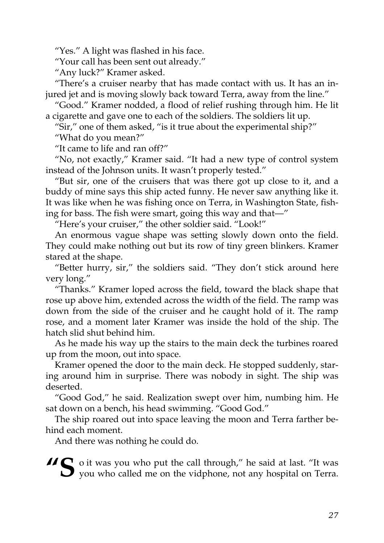"Yes." A light was flashed in his face.

"Your call has been sent out already."

"Any luck?" Kramer asked.

"There's a cruiser nearby that has made contact with us. It has an injured jet and is moving slowly back toward Terra, away from the line."

"Good." Kramer nodded, a flood of relief rushing through him. He lit a cigarette and gave one to each of the soldiers. The soldiers lit up.

"Sir," one of them asked, "is it true about the experimental ship?"

"What do you mean?"

"It came to life and ran off?"

"No, not exactly," Kramer said. "It had a new type of control system instead of the Johnson units. It wasn't properly tested."

"But sir, one of the cruisers that was there got up close to it, and a buddy of mine says this ship acted funny. He never saw anything like it. It was like when he was fishing once on Terra, in Washington State, fishing for bass. The fish were smart, going this way and that—"

"Here's your cruiser," the other soldier said. "Look!"

An enormous vague shape was setting slowly down onto the field. They could make nothing out but its row of tiny green blinkers. Kramer stared at the shape.

"Better hurry, sir," the soldiers said. "They don't stick around here very long."

"Thanks." Kramer loped across the field, toward the black shape that rose up above him, extended across the width of the field. The ramp was down from the side of the cruiser and he caught hold of it. The ramp rose, and a moment later Kramer was inside the hold of the ship. The hatch slid shut behind him.

As he made his way up the stairs to the main deck the turbines roared up from the moon, out into space.

Kramer opened the door to the main deck. He stopped suddenly, staring around him in surprise. There was nobody in sight. The ship was deserted.

"Good God," he said. Realization swept over him, numbing him. He sat down on a bench, his head swimming. "Good God."

The ship roared out into space leaving the moon and Terra farther behind each moment.

And there was nothing he could do.

**"** S o it was you who put the call through," he said at last. "It was you who called me on the vidphone, not any hospital on Terra.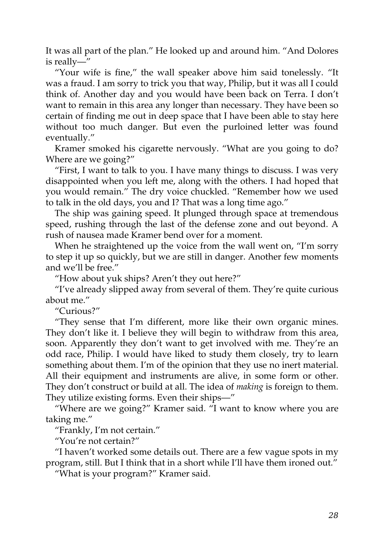It was all part of the plan." He looked up and around him. "And Dolores is really—"

"Your wife is fine," the wall speaker above him said tonelessly. "It was a fraud. I am sorry to trick you that way, Philip, but it was all I could think of. Another day and you would have been back on Terra. I don't want to remain in this area any longer than necessary. They have been so certain of finding me out in deep space that I have been able to stay here without too much danger. But even the purloined letter was found eventually."

Kramer smoked his cigarette nervously. "What are you going to do? Where are we going?"

"First, I want to talk to you. I have many things to discuss. I was very disappointed when you left me, along with the others. I had hoped that you would remain." The dry voice chuckled. "Remember how we used to talk in the old days, you and I? That was a long time ago."

The ship was gaining speed. It plunged through space at tremendous speed, rushing through the last of the defense zone and out beyond. A rush of nausea made Kramer bend over for a moment.

When he straightened up the voice from the wall went on, "I'm sorry to step it up so quickly, but we are still in danger. Another few moments and we'll be free."

"How about yuk ships? Aren't they out here?"

"I've already slipped away from several of them. They're quite curious about me."

"Curious?"

"They sense that I'm different, more like their own organic mines. They don't like it. I believe they will begin to withdraw from this area, soon. Apparently they don't want to get involved with me. They're an odd race, Philip. I would have liked to study them closely, try to learn something about them. I'm of the opinion that they use no inert material. All their equipment and instruments are alive, in some form or other. They don't construct or build at all. The idea of *making* is foreign to them. They utilize existing forms. Even their ships—"

"Where are we going?" Kramer said. "I want to know where you are taking me."

"Frankly, I'm not certain."

"You're not certain?"

"I haven't worked some details out. There are a few vague spots in my program, still. But I think that in a short while I'll have them ironed out."

"What is your program?" Kramer said.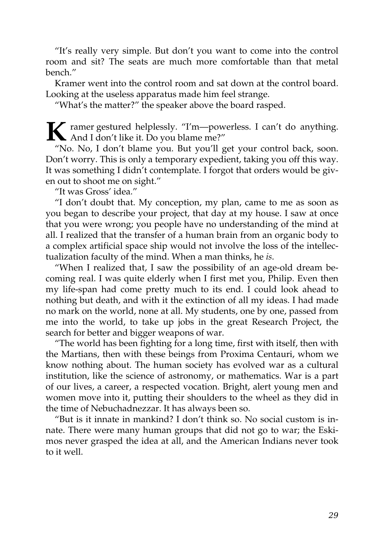"It's really very simple. But don't you want to come into the control room and sit? The seats are much more comfortable than that metal bench."

Kramer went into the control room and sat down at the control board. Looking at the useless apparatus made him feel strange.

"What's the matter?" the speaker above the board rasped.

K ramer gestured helplessly. "I'm—powerless. I can't do anything. And I don't like it. Do you blame me?"

"No. No, I don't blame you. But you'll get your control back, soon. Don't worry. This is only a temporary expedient, taking you off this way. It was something I didn't contemplate. I forgot that orders would be given out to shoot me on sight."

"It was Gross' idea."

"I don't doubt that. My conception, my plan, came to me as soon as you began to describe your project, that day at my house. I saw at once that you were wrong; you people have no understanding of the mind at all. I realized that the transfer of a human brain from an organic body to a complex artificial space ship would not involve the loss of the intellectualization faculty of the mind. When a man thinks, he *is*.

"When I realized that, I saw the possibility of an age-old dream becoming real. I was quite elderly when I first met you, Philip. Even then my life-span had come pretty much to its end. I could look ahead to nothing but death, and with it the extinction of all my ideas. I had made no mark on the world, none at all. My students, one by one, passed from me into the world, to take up jobs in the great Research Project, the search for better and bigger weapons of war.

"The world has been fighting for a long time, first with itself, then with the Martians, then with these beings from Proxima Centauri, whom we know nothing about. The human society has evolved war as a cultural institution, like the science of astronomy, or mathematics. War is a part of our lives, a career, a respected vocation. Bright, alert young men and women move into it, putting their shoulders to the wheel as they did in the time of Nebuchadnezzar. It has always been so.

"But is it innate in mankind? I don't think so. No social custom is innate. There were many human groups that did not go to war; the Eskimos never grasped the idea at all, and the American Indians never took to it well.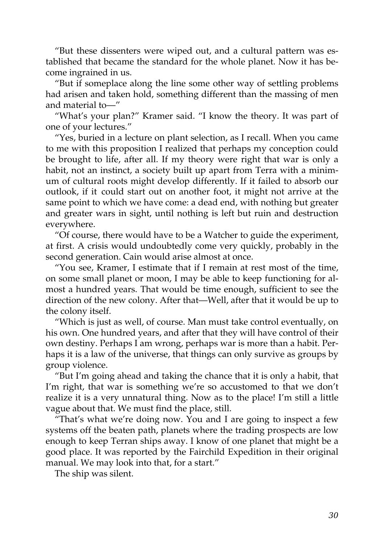"But these dissenters were wiped out, and a cultural pattern was established that became the standard for the whole planet. Now it has become ingrained in us.

"But if someplace along the line some other way of settling problems had arisen and taken hold, something different than the massing of men and material to—"

"What's your plan?" Kramer said. "I know the theory. It was part of one of your lectures."

"Yes, buried in a lecture on plant selection, as I recall. When you came to me with this proposition I realized that perhaps my conception could be brought to life, after all. If my theory were right that war is only a habit, not an instinct, a society built up apart from Terra with a minimum of cultural roots might develop differently. If it failed to absorb our outlook, if it could start out on another foot, it might not arrive at the same point to which we have come: a dead end, with nothing but greater and greater wars in sight, until nothing is left but ruin and destruction everywhere.

"Of course, there would have to be a Watcher to guide the experiment, at first. A crisis would undoubtedly come very quickly, probably in the second generation. Cain would arise almost at once.

"You see, Kramer, I estimate that if I remain at rest most of the time, on some small planet or moon, I may be able to keep functioning for almost a hundred years. That would be time enough, sufficient to see the direction of the new colony. After that—Well, after that it would be up to the colony itself.

"Which is just as well, of course. Man must take control eventually, on his own. One hundred years, and after that they will have control of their own destiny. Perhaps I am wrong, perhaps war is more than a habit. Perhaps it is a law of the universe, that things can only survive as groups by group violence.

"But I'm going ahead and taking the chance that it is only a habit, that I'm right, that war is something we're so accustomed to that we don't realize it is a very unnatural thing. Now as to the place! I'm still a little vague about that. We must find the place, still.

"That's what we're doing now. You and I are going to inspect a few systems off the beaten path, planets where the trading prospects are low enough to keep Terran ships away. I know of one planet that might be a good place. It was reported by the Fairchild Expedition in their original manual. We may look into that, for a start."

The ship was silent.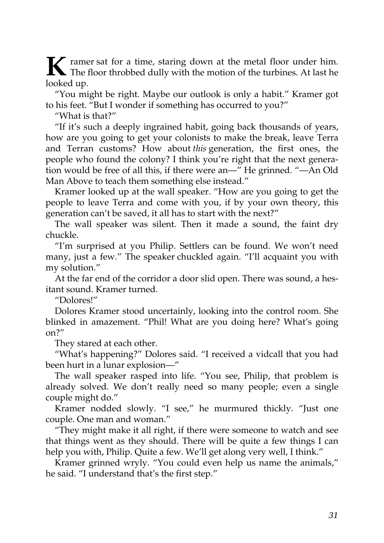**K** ramer sat for a time, staring down at the metal floor under him.<br>The floor throbbed dully with the motion of the turbines. At last he The floor throbbed dully with the motion of the turbines. At last he looked up.

"You might be right. Maybe our outlook is only a habit." Kramer got to his feet. "But I wonder if something has occurred to you?"

"What is that?"

"If it's such a deeply ingrained habit, going back thousands of years, how are you going to get your colonists to make the break, leave Terra and Terran customs? How about *this* generation, the first ones, the people who found the colony? I think you're right that the next generation would be free of all this, if there were an—" He grinned. "—An Old Man Above to teach them something else instead."

Kramer looked up at the wall speaker. "How are you going to get the people to leave Terra and come with you, if by your own theory, this generation can't be saved, it all has to start with the next?"

The wall speaker was silent. Then it made a sound, the faint dry chuckle.

"I'm surprised at you Philip. Settlers can be found. We won't need many, just a few." The speaker chuckled again. "I'll acquaint you with my solution."

At the far end of the corridor a door slid open. There was sound, a hesitant sound. Kramer turned.

"Dolores!"

Dolores Kramer stood uncertainly, looking into the control room. She blinked in amazement. "Phil! What are you doing here? What's going on?"

They stared at each other.

"What's happening?" Dolores said. "I received a vidcall that you had been hurt in a lunar explosion—"

The wall speaker rasped into life. "You see, Philip, that problem is already solved. We don't really need so many people; even a single couple might do."

Kramer nodded slowly. "I see," he murmured thickly. "Just one couple. One man and woman."

"They might make it all right, if there were someone to watch and see that things went as they should. There will be quite a few things I can help you with, Philip. Quite a few. We'll get along very well, I think."

Kramer grinned wryly. "You could even help us name the animals," he said. "I understand that's the first step."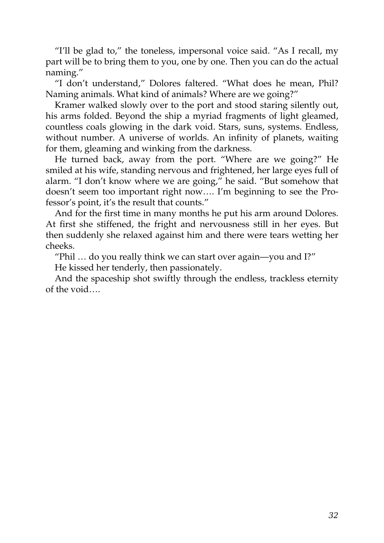"I'll be glad to," the toneless, impersonal voice said. "As I recall, my part will be to bring them to you, one by one. Then you can do the actual naming."

"I don't understand," Dolores faltered. "What does he mean, Phil? Naming animals. What kind of animals? Where are we going?"

Kramer walked slowly over to the port and stood staring silently out, his arms folded. Beyond the ship a myriad fragments of light gleamed, countless coals glowing in the dark void. Stars, suns, systems. Endless, without number. A universe of worlds. An infinity of planets, waiting for them, gleaming and winking from the darkness.

He turned back, away from the port. "Where are we going?" He smiled at his wife, standing nervous and frightened, her large eyes full of alarm. "I don't know where we are going," he said. "But somehow that doesn't seem too important right now…. I'm beginning to see the Professor's point, it's the result that counts."

And for the first time in many months he put his arm around Dolores. At first she stiffened, the fright and nervousness still in her eyes. But then suddenly she relaxed against him and there were tears wetting her cheeks.

"Phil … do you really think we can start over again—you and I?"

He kissed her tenderly, then passionately.

And the spaceship shot swiftly through the endless, trackless eternity of the void….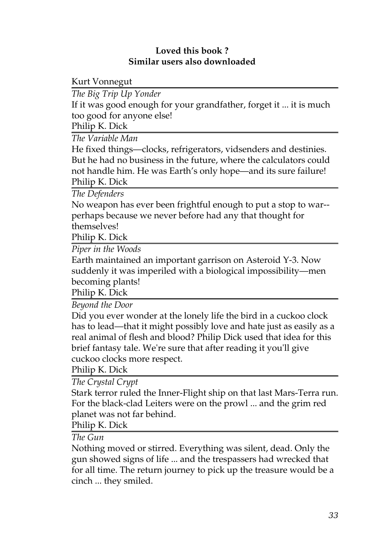## **Loved this book ? Similar users also downloaded**

Kurt Vonnegut

*[The Big Trip Up Yonder](http://generation.feedbooks.com/book/4322.pdf)*

If it was good enough for your grandfather, forget it ... it is much too good for anyone else!

Philip K. Dick

*[The Variable Man](http://generation.feedbooks.com/book/4751.pdf)*

He fixed things—clocks, refrigerators, vidsenders and destinies. But he had no business in the future, where the calculators could not handle him. He was Earth's only hope—and its sure failure! Philip K. Dick

*[The Defenders](http://generation.feedbooks.com/book/3892.pdf)*

No weapon has ever been frightful enough to put a stop to war- perhaps because we never before had any that thought for themselves!

Philip K. Dick

*[Piper in the Woods](http://generation.feedbooks.com/book/4916.pdf)*

Earth maintained an important garrison on Asteroid Y-3. Now suddenly it was imperiled with a biological impossibility—men becoming plants!

Philip K. Dick

*[Beyond the Door](http://generation.feedbooks.com/book/3863.pdf)*

Did you ever wonder at the lonely life the bird in a cuckoo clock has to lead—that it might possibly love and hate just as easily as a real animal of flesh and blood? Philip Dick used that idea for this brief fantasy tale. We're sure that after reading it you'll give cuckoo clocks more respect.

Philip K. Dick

*[The Crystal Crypt](http://generation.feedbooks.com/book/3878.pdf)*

Stark terror ruled the Inner-Flight ship on that last Mars-Terra run. For the black-clad Leiters were on the prowl ... and the grim red planet was not far behind.

Philip K. Dick

*[The Gun](http://generation.feedbooks.com/book/3995.pdf)*

Nothing moved or stirred. Everything was silent, dead. Only the gun showed signs of life ... and the trespassers had wrecked that for all time. The return journey to pick up the treasure would be a cinch ... they smiled.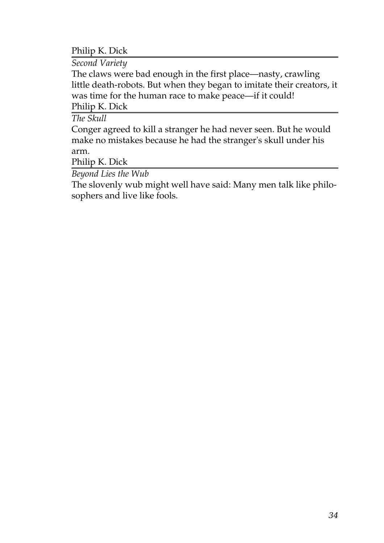Philip K. Dick

*[Second Variety](http://generation.feedbooks.com/book/4711.pdf)*

The claws were bad enough in the first place—nasty, crawling little death-robots. But when they began to imitate their creators, it was time for the human race to make peace—if it could! Philip K. Dick

*[The Skull](http://generation.feedbooks.com/book/4335.pdf)*

Conger agreed to kill a stranger he had never seen. But he would make no mistakes because he had the stranger's skull under his arm.

Philip K. Dick

*[Beyond Lies the Wub](http://generation.feedbooks.com/book/3812.pdf)*

The slovenly wub might well have said: Many men talk like philosophers and live like fools.